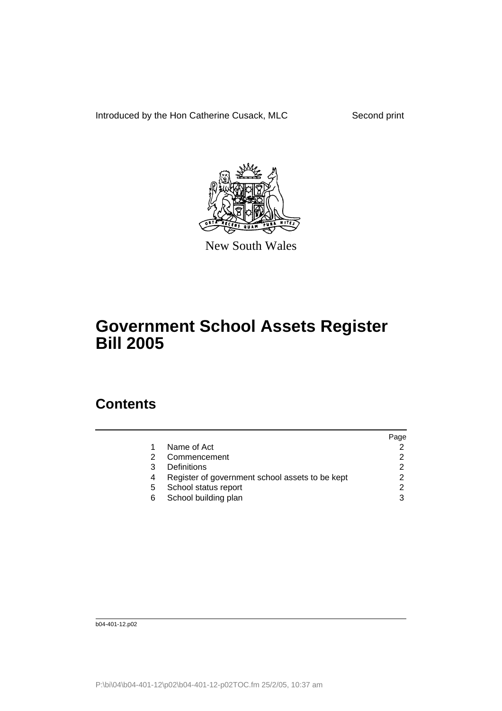Introduced by the Hon Catherine Cusack, MLC Second print



New South Wales

## **Government School Assets Register Bill 2005**

## **Contents**

|    |                                                 | Page |
|----|-------------------------------------------------|------|
|    | Name of Act                                     |      |
|    | Commencement                                    |      |
| 3  | Definitions                                     |      |
|    | Register of government school assets to be kept |      |
| 5. | School status report                            |      |
| 6  | School building plan                            |      |
|    |                                                 |      |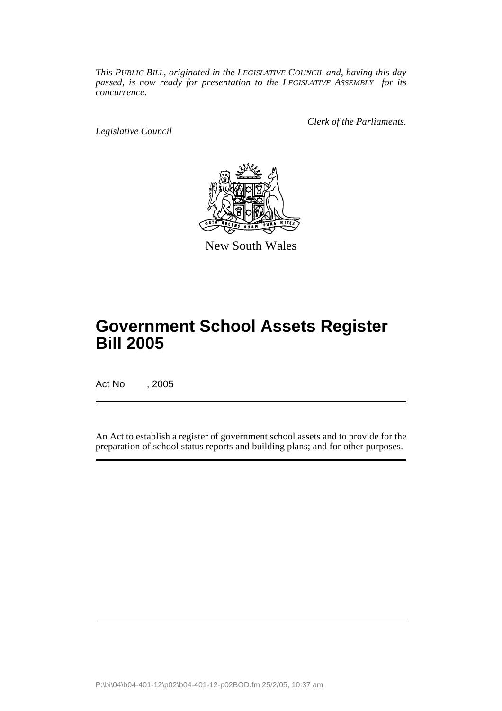*This PUBLIC BILL, originated in the LEGISLATIVE COUNCIL and, having this day passed, is now ready for presentation to the LEGISLATIVE ASSEMBLY for its concurrence.*

*Legislative Council*

*Clerk of the Parliaments.*



New South Wales

## **Government School Assets Register Bill 2005**

Act No , 2005

An Act to establish a register of government school assets and to provide for the preparation of school status reports and building plans; and for other purposes.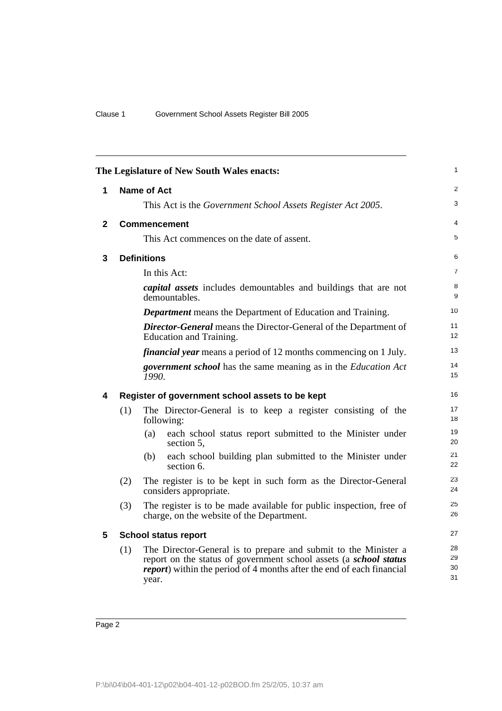| The Legislature of New South Wales enacts: |                                                                                                    |                                                                                                                                                                                                                                |                      |  |
|--------------------------------------------|----------------------------------------------------------------------------------------------------|--------------------------------------------------------------------------------------------------------------------------------------------------------------------------------------------------------------------------------|----------------------|--|
| 1                                          |                                                                                                    | <b>Name of Act</b>                                                                                                                                                                                                             | $\overline{2}$       |  |
|                                            |                                                                                                    | This Act is the Government School Assets Register Act 2005.                                                                                                                                                                    | 3                    |  |
| $\mathbf{2}$                               |                                                                                                    | <b>Commencement</b>                                                                                                                                                                                                            | 4                    |  |
|                                            |                                                                                                    | This Act commences on the date of assent.                                                                                                                                                                                      | 5                    |  |
| 3                                          |                                                                                                    | <b>Definitions</b>                                                                                                                                                                                                             | 6                    |  |
|                                            |                                                                                                    | In this Act:                                                                                                                                                                                                                   | $\overline{7}$       |  |
|                                            |                                                                                                    | <i>capital assets</i> includes demountables and buildings that are not<br>demountables.                                                                                                                                        | 8<br>9               |  |
|                                            |                                                                                                    | <b>Department</b> means the Department of Education and Training.                                                                                                                                                              | 10                   |  |
|                                            | <b>Director-General</b> means the Director-General of the Department of<br>Education and Training. |                                                                                                                                                                                                                                |                      |  |
|                                            | <i>financial year</i> means a period of 12 months commencing on 1 July.                            |                                                                                                                                                                                                                                |                      |  |
|                                            |                                                                                                    | <i>government school</i> has the same meaning as in the <i>Education Act</i><br>1990.                                                                                                                                          | 14<br>15             |  |
| 4                                          |                                                                                                    | Register of government school assets to be kept                                                                                                                                                                                | 16                   |  |
|                                            | (1)                                                                                                | The Director-General is to keep a register consisting of the<br>following:                                                                                                                                                     | 17<br>18             |  |
|                                            |                                                                                                    | each school status report submitted to the Minister under<br>(a)<br>section 5,                                                                                                                                                 | 19<br>20             |  |
|                                            |                                                                                                    | each school building plan submitted to the Minister under<br>(b)<br>section 6.                                                                                                                                                 | 21<br>22             |  |
|                                            | (2)                                                                                                | The register is to be kept in such form as the Director-General<br>considers appropriate.                                                                                                                                      | 23<br>24             |  |
|                                            | (3)                                                                                                | The register is to be made available for public inspection, free of<br>charge, on the website of the Department.                                                                                                               | 25<br>26             |  |
| 5                                          |                                                                                                    | <b>School status report</b>                                                                                                                                                                                                    | 27                   |  |
|                                            | (1)                                                                                                | The Director-General is to prepare and submit to the Minister a<br>report on the status of government school assets (a school status<br><i>report</i> ) within the period of 4 months after the end of each financial<br>year. | 28<br>29<br>30<br>31 |  |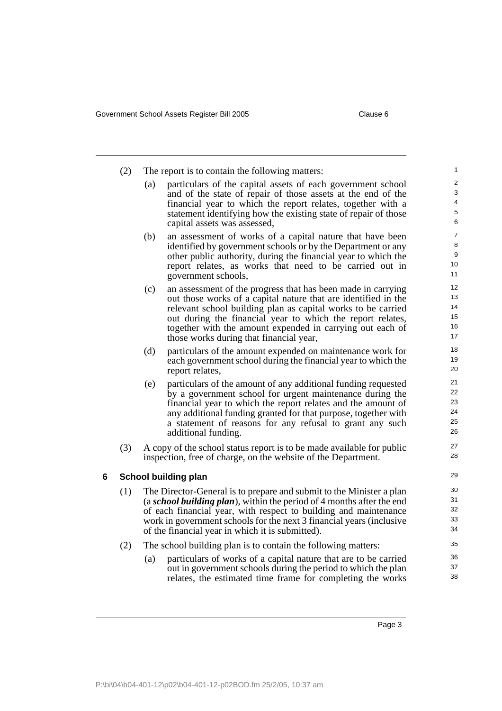|   | (2) | The report is to contain the following matters:                                                                                                                                                                                                                                                                                               |                                                                                                                                                                                                                                                                                                                                                                      |                                    |
|---|-----|-----------------------------------------------------------------------------------------------------------------------------------------------------------------------------------------------------------------------------------------------------------------------------------------------------------------------------------------------|----------------------------------------------------------------------------------------------------------------------------------------------------------------------------------------------------------------------------------------------------------------------------------------------------------------------------------------------------------------------|------------------------------------|
|   |     | (a)                                                                                                                                                                                                                                                                                                                                           | particulars of the capital assets of each government school<br>and of the state of repair of those assets at the end of the<br>financial year to which the report relates, together with a<br>statement identifying how the existing state of repair of those<br>capital assets was assessed,                                                                        | $\overline{c}$<br>3<br>4<br>5<br>6 |
|   |     | (b)                                                                                                                                                                                                                                                                                                                                           | an assessment of works of a capital nature that have been<br>identified by government schools or by the Department or any<br>other public authority, during the financial year to which the<br>report relates, as works that need to be carried out in<br>government schools,                                                                                        | 7<br>8<br>9<br>10<br>11            |
|   |     | (c)                                                                                                                                                                                                                                                                                                                                           | an assessment of the progress that has been made in carrying<br>out those works of a capital nature that are identified in the<br>relevant school building plan as capital works to be carried<br>out during the financial year to which the report relates,<br>together with the amount expended in carrying out each of<br>those works during that financial year, | 12<br>13<br>14<br>15<br>16<br>17   |
|   |     | (d)                                                                                                                                                                                                                                                                                                                                           | particulars of the amount expended on maintenance work for<br>each government school during the financial year to which the<br>report relates,                                                                                                                                                                                                                       | 18<br>19<br>20                     |
|   |     | (e)                                                                                                                                                                                                                                                                                                                                           | particulars of the amount of any additional funding requested<br>by a government school for urgent maintenance during the<br>financial year to which the report relates and the amount of<br>any additional funding granted for that purpose, together with<br>a statement of reasons for any refusal to grant any such<br>additional funding.                       | 21<br>22<br>23<br>24<br>25<br>26   |
|   | (3) |                                                                                                                                                                                                                                                                                                                                               | A copy of the school status report is to be made available for public<br>inspection, free of charge, on the website of the Department.                                                                                                                                                                                                                               | 27<br>28                           |
| 6 |     |                                                                                                                                                                                                                                                                                                                                               | School building plan                                                                                                                                                                                                                                                                                                                                                 | 29                                 |
|   | (1) | The Director-General is to prepare and submit to the Minister a plan<br>(a school building plan), within the period of 4 months after the end<br>of each financial year, with respect to building and maintenance<br>work in government schools for the next 3 financial years (inclusive<br>of the financial year in which it is submitted). |                                                                                                                                                                                                                                                                                                                                                                      | 30<br>31<br>32<br>33<br>34         |
|   | (2) | (a)                                                                                                                                                                                                                                                                                                                                           | The school building plan is to contain the following matters:<br>particulars of works of a capital nature that are to be carried<br>out in government schools during the period to which the plan<br>relates, the estimated time frame for completing the works                                                                                                      | 35<br>36<br>37<br>38               |
|   |     |                                                                                                                                                                                                                                                                                                                                               |                                                                                                                                                                                                                                                                                                                                                                      |                                    |